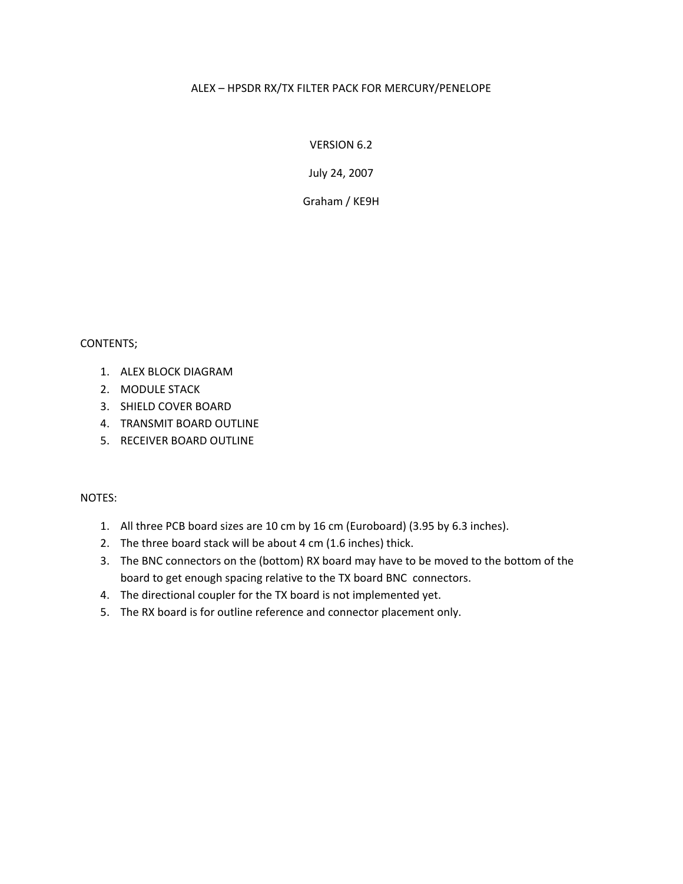## ALEX – HPSDR RX/TX FILTER PACK FOR MERCURY/PENELOPE

VERSION 6.2

July 24, 2007

Graham / KE9H

## CONTENTS;

- 1. ALEX BLOCK DIAGRAM
- 2. MODULE STACK
- 3. SHIELD COVER BOARD
- 4. TRANSMIT BOARD OUTLINE
- 5. RECEIVER BOARD OUTLINE

## NOTES:

- 1. All three PCB board sizes are 10 cm by 16 cm (Euroboard) (3.95 by 6.3 inches).
- 2. The three board stack will be about 4 cm (1.6 inches) thick.
- 3. The BNC connectors on the (bottom) RX board may have to be moved to the bottom of the board to get enough spacing relative to the TX board BNC connectors.
- 4. The directional coupler for the TX board is not implemented yet.
- 5. The RX board is for outline reference and connector placement only.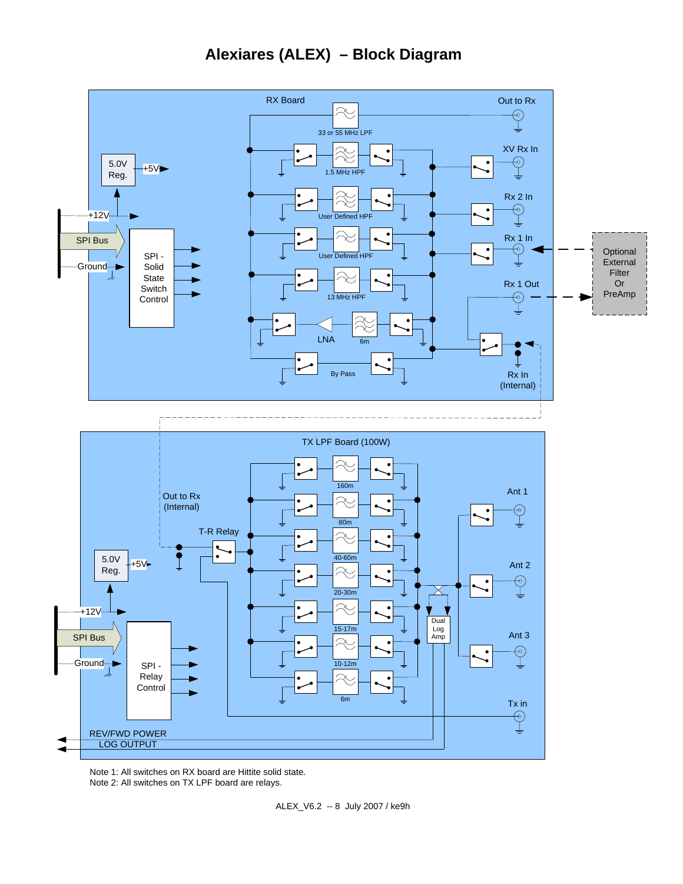

Note 1: All switches on RX board are Hittite solid state. Note 2: All switches on TX LPF board are relays.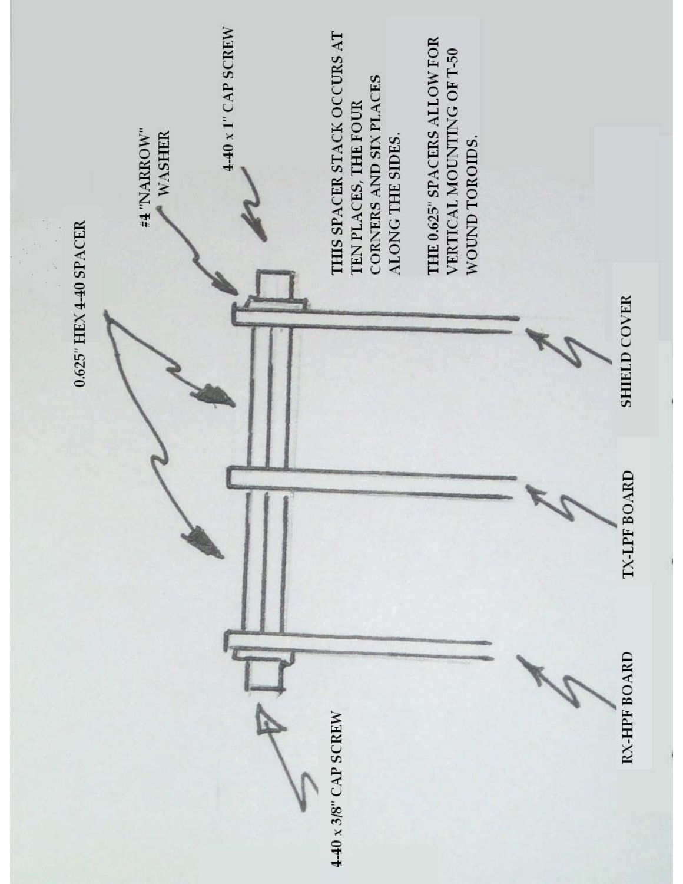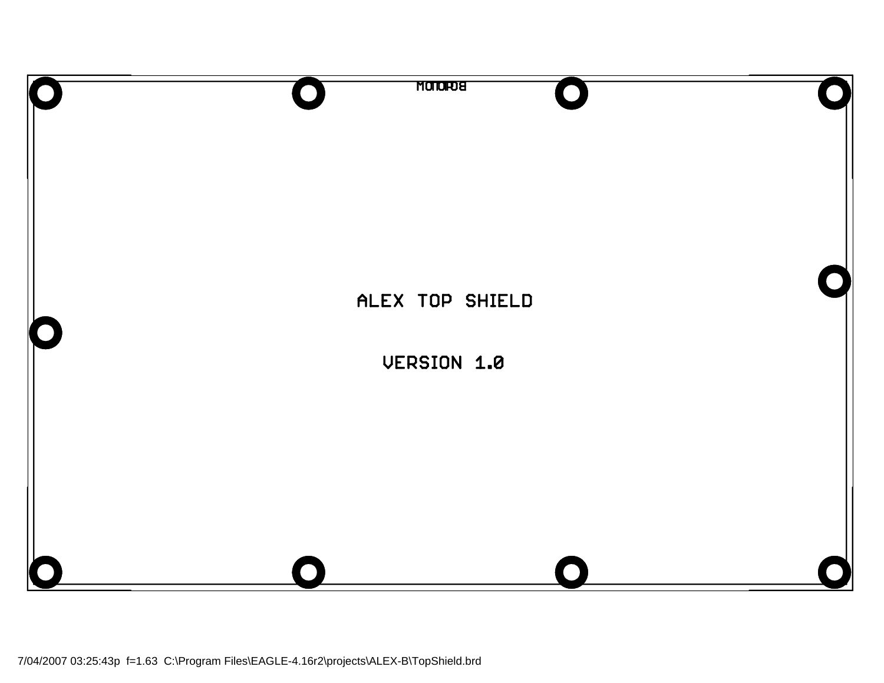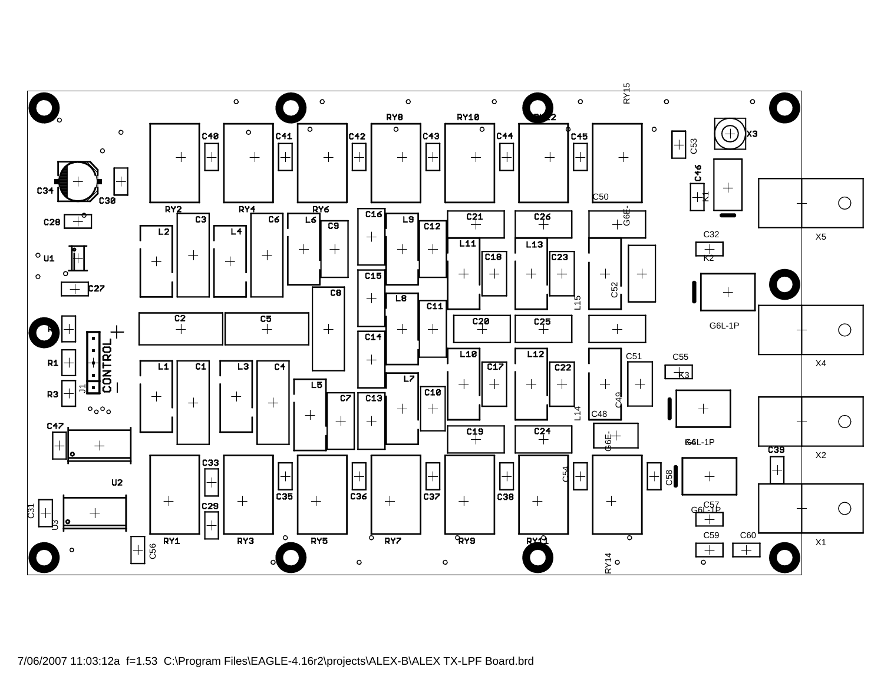